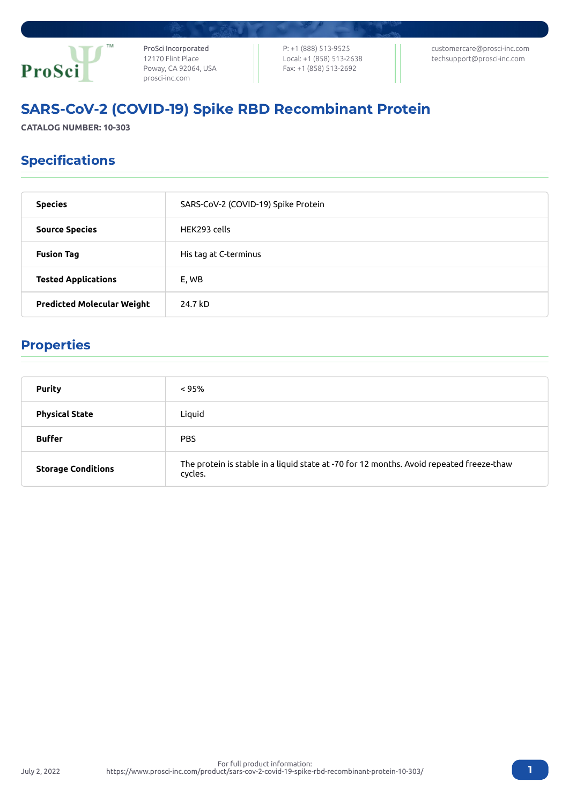

ProSci Incorporated 12170 Flint Place Poway, CA 92064, USA [prosci-inc.com](https://prosci-inc.com/)

P: +1 (888) 513-9525 Local: +1 (858) 513-2638 Fax: +1 (858) 513-2692

[customercare@prosci-inc.com](mailto:customercare@prosci-inc.com) [techsupport@prosci-inc.com](mailto:techsupport@prosci-inc.com)

# SARS-CoV-2 (COVID-19) Spike RBD Recombinant Protein

**CATALOG NUMBER: 10-303**

## Specifications

| <b>Species</b>                    | SARS-CoV-2 (COVID-19) Spike Protein |
|-----------------------------------|-------------------------------------|
| <b>Source Species</b>             | HEK293 cells                        |
| <b>Fusion Tag</b>                 | His tag at C-terminus               |
| <b>Tested Applications</b>        | E, WB                               |
| <b>Predicted Molecular Weight</b> | 24.7 kD                             |

# Properties

July 2, 2022

| <b>Purity</b>             | $< 95\%$                                                                                            |
|---------------------------|-----------------------------------------------------------------------------------------------------|
| <b>Physical State</b>     | Liquid                                                                                              |
| <b>Buffer</b>             | <b>PBS</b>                                                                                          |
| <b>Storage Conditions</b> | The protein is stable in a liquid state at -70 for 12 months. Avoid repeated freeze-thaw<br>cycles. |